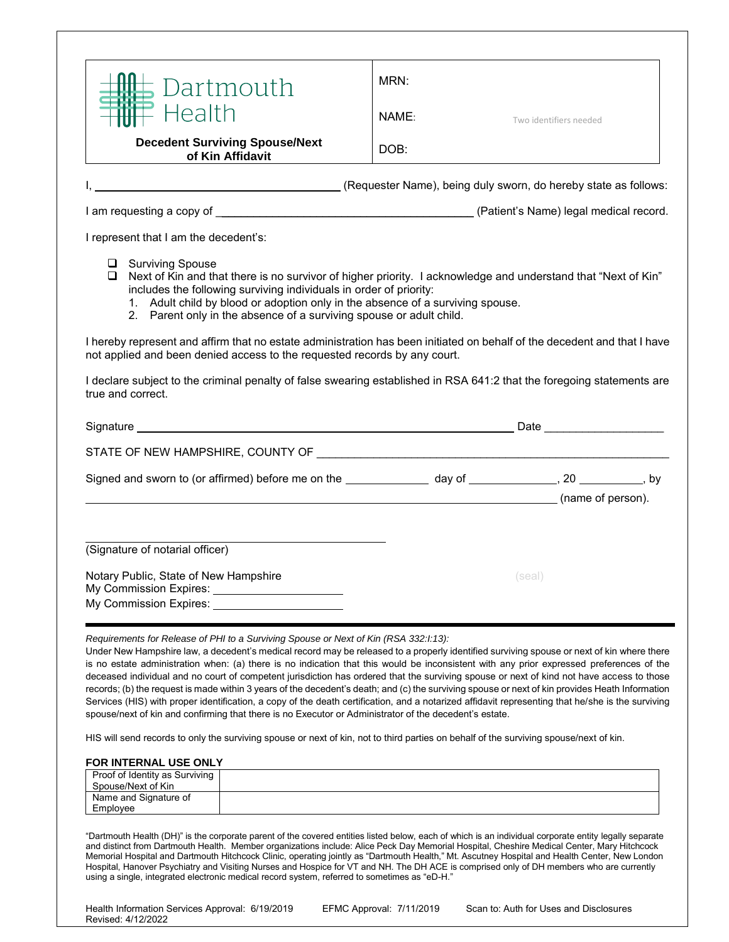| Dartmouth                                                                                                                                                                                                                                                                                                                                                                          | MRN:  |        |                        |  |
|------------------------------------------------------------------------------------------------------------------------------------------------------------------------------------------------------------------------------------------------------------------------------------------------------------------------------------------------------------------------------------|-------|--------|------------------------|--|
| Health                                                                                                                                                                                                                                                                                                                                                                             | NAME: |        | Two identifiers needed |  |
| <b>Decedent Surviving Spouse/Next</b><br>of Kin Affidavit                                                                                                                                                                                                                                                                                                                          | DOB:  |        |                        |  |
| (Requester Name), being duly sworn, do hereby state as follows:                                                                                                                                                                                                                                                                                                                    |       |        |                        |  |
|                                                                                                                                                                                                                                                                                                                                                                                    |       |        |                        |  |
| I represent that I am the decedent's:                                                                                                                                                                                                                                                                                                                                              |       |        |                        |  |
| <b>Surviving Spouse</b><br>u.<br>Next of Kin and that there is no survivor of higher priority. I acknowledge and understand that "Next of Kin"<br>⊔<br>includes the following surviving individuals in order of priority:<br>1. Adult child by blood or adoption only in the absence of a surviving spouse.<br>2. Parent only in the absence of a surviving spouse or adult child. |       |        |                        |  |
| I hereby represent and affirm that no estate administration has been initiated on behalf of the decedent and that I have<br>not applied and been denied access to the requested records by any court.                                                                                                                                                                              |       |        |                        |  |
| I declare subject to the criminal penalty of false swearing established in RSA 641:2 that the foregoing statements are<br>true and correct.                                                                                                                                                                                                                                        |       |        |                        |  |
|                                                                                                                                                                                                                                                                                                                                                                                    |       |        |                        |  |
|                                                                                                                                                                                                                                                                                                                                                                                    |       |        |                        |  |
| Signed and sworn to (or affirmed) before me on the _______________ day of _______________, 20 ___________, by                                                                                                                                                                                                                                                                      |       |        |                        |  |
|                                                                                                                                                                                                                                                                                                                                                                                    |       |        |                        |  |
| (name of person).                                                                                                                                                                                                                                                                                                                                                                  |       |        |                        |  |
|                                                                                                                                                                                                                                                                                                                                                                                    |       |        |                        |  |
| (Signature of notarial officer)                                                                                                                                                                                                                                                                                                                                                    |       |        |                        |  |
| Notary Public, State of New Hampshire<br>My Commission Expires: _________________________                                                                                                                                                                                                                                                                                          |       | (seal) |                        |  |

## **FOR INTERNAL USE ONLY**

| Proof of Identity as Surviving<br>Spouse/Next of Kin |  |
|------------------------------------------------------|--|
| Name and Signature of                                |  |
| Employee                                             |  |

"Dartmouth Health (DH)" is the corporate parent of the covered entities listed below, each of which is an individual corporate entity legally separate and distinct from Dartmouth Health. Member organizations include: Alice Peck Day Memorial Hospital, Cheshire Medical Center, Mary Hitchcock Memorial Hospital and Dartmouth Hitchcock Clinic, operating jointly as "Dartmouth Health," Mt. Ascutney Hospital and Health Center, New London Hospital, Hanover Psychiatry and Visiting Nurses and Hospice for VT and NH. The DH ACE is comprised only of DH members who are currently using a single, integrated electronic medical record system, referred to sometimes as "eD-H."